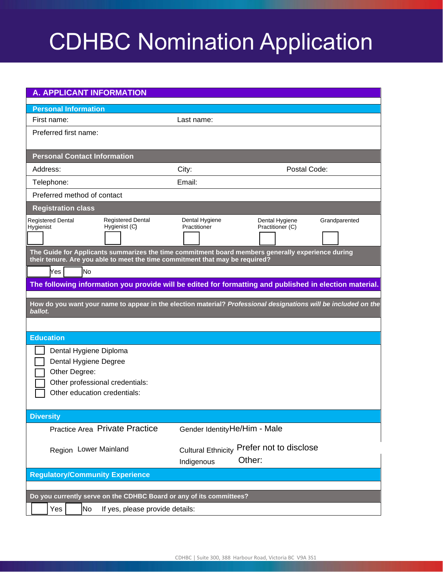| <b>A. APPLICANT INFORMATION</b>                                                                                                                                                   |                               |                                           |               |
|-----------------------------------------------------------------------------------------------------------------------------------------------------------------------------------|-------------------------------|-------------------------------------------|---------------|
| <b>Personal Information</b>                                                                                                                                                       |                               |                                           |               |
| First name:                                                                                                                                                                       | Last name:                    |                                           |               |
| Preferred first name:                                                                                                                                                             |                               |                                           |               |
|                                                                                                                                                                                   |                               |                                           |               |
| <b>Personal Contact Information</b>                                                                                                                                               |                               |                                           |               |
| Address:                                                                                                                                                                          | City:                         | Postal Code:                              |               |
| Telephone:                                                                                                                                                                        | Email:                        |                                           |               |
| Preferred method of contact                                                                                                                                                       |                               |                                           |               |
| <b>Registration class</b>                                                                                                                                                         |                               |                                           |               |
| <b>Registered Dental</b><br><b>Registered Dental</b>                                                                                                                              | Dental Hygiene                | Dental Hygiene                            | Grandparented |
| Hygienist (C)<br>Hygienist                                                                                                                                                        | Practitioner                  | Practitioner (C)                          |               |
|                                                                                                                                                                                   |                               |                                           |               |
| The Guide for Applicants summarizes the time commitment board members generally experience during<br>their tenure. Are you able to meet the time commitment that may be required? |                               |                                           |               |
| Yes<br>lNo                                                                                                                                                                        |                               |                                           |               |
| The following information you provide will be edited for formatting and published in election material.                                                                           |                               |                                           |               |
|                                                                                                                                                                                   |                               |                                           |               |
| How do you want your name to appear in the election material? Professional designations will be included on the<br>ballot.                                                        |                               |                                           |               |
|                                                                                                                                                                                   |                               |                                           |               |
| <b>Education</b>                                                                                                                                                                  |                               |                                           |               |
| Dental Hygiene Diploma                                                                                                                                                            |                               |                                           |               |
| Dental Hygiene Degree                                                                                                                                                             |                               |                                           |               |
| Other Degree:                                                                                                                                                                     |                               |                                           |               |
| Other professional credentials:                                                                                                                                                   |                               |                                           |               |
| Other education credentials:                                                                                                                                                      |                               |                                           |               |
|                                                                                                                                                                                   |                               |                                           |               |
| <b>Diversity</b>                                                                                                                                                                  |                               |                                           |               |
| Practice Area Private Practice                                                                                                                                                    | Gender Identity He/Him - Male |                                           |               |
| Region Lower Mainland                                                                                                                                                             |                               | Cultural Ethnicity Prefer not to disclose |               |
|                                                                                                                                                                                   | Indigenous                    | Other:                                    |               |
| <b>Regulatory/Community Experience</b>                                                                                                                                            |                               |                                           |               |
|                                                                                                                                                                                   |                               |                                           |               |
| Do you currently serve on the CDHBC Board or any of its committees?                                                                                                               |                               |                                           |               |
| No<br>Yes<br>If yes, please provide details:                                                                                                                                      |                               |                                           |               |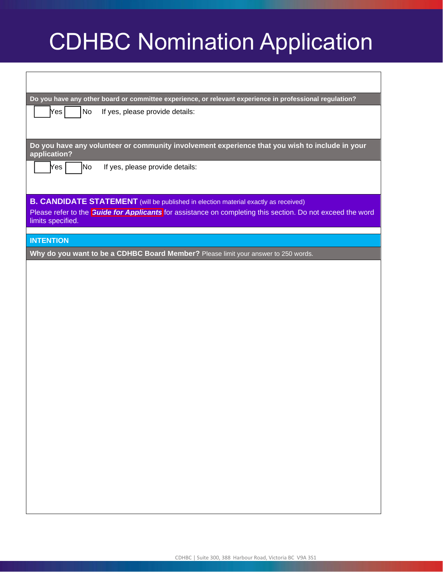| Do you have any other board or committee experience, or relevant experience in professional regulation?                                                                                                                              |
|--------------------------------------------------------------------------------------------------------------------------------------------------------------------------------------------------------------------------------------|
| Yes <br>No<br>If yes, please provide details:                                                                                                                                                                                        |
|                                                                                                                                                                                                                                      |
| Do you have any volunteer or community involvement experience that you wish to include in your<br>application?                                                                                                                       |
| Yes<br> No<br>If yes, please provide details:                                                                                                                                                                                        |
|                                                                                                                                                                                                                                      |
| <b>B. CANDIDATE STATEMENT</b> (will be published in election material exactly as received)<br>Please refer to the <b>Guide for Applicants</b> for assistance on completing this section. Do not exceed the word<br>limits specified. |
|                                                                                                                                                                                                                                      |
| <b>INTENTION</b>                                                                                                                                                                                                                     |
| Why do you want to be a CDHBC Board Member? Please limit your answer to 250 words.                                                                                                                                                   |
|                                                                                                                                                                                                                                      |
|                                                                                                                                                                                                                                      |
|                                                                                                                                                                                                                                      |
|                                                                                                                                                                                                                                      |
|                                                                                                                                                                                                                                      |
|                                                                                                                                                                                                                                      |
|                                                                                                                                                                                                                                      |
|                                                                                                                                                                                                                                      |
|                                                                                                                                                                                                                                      |
|                                                                                                                                                                                                                                      |
|                                                                                                                                                                                                                                      |
|                                                                                                                                                                                                                                      |
|                                                                                                                                                                                                                                      |
|                                                                                                                                                                                                                                      |
|                                                                                                                                                                                                                                      |
|                                                                                                                                                                                                                                      |
|                                                                                                                                                                                                                                      |
|                                                                                                                                                                                                                                      |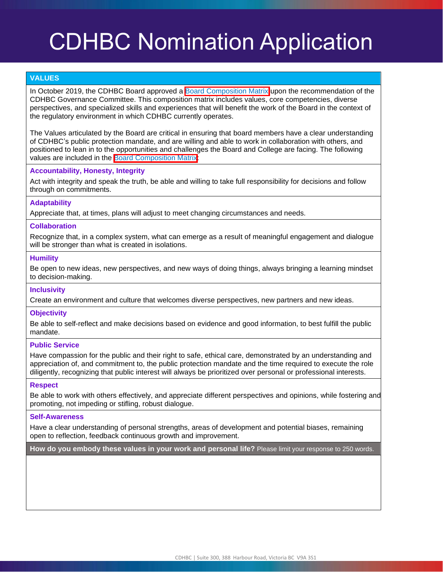#### **VALUES**

In October 2019, the CDHBC Board approved a **Board Composition Matrix** upon the recommendation of the CDHBC Governance Committee. This composition matrix includes values, core competencies, diverse perspectives, and specialized skills and experiences that will benefit the work of the Board in the context of the regulatory environment in which CDHBC currently operates.

The Values articulated by the Board are critical in ensuring that board members have a clear understanding of CDHBC's public protection mandate, and are willing and able to work in collaboration with others, and positioned to lean in to the opportunities and challenges the Board and College are facing. The following values are included in the [Board Composition Matrix:](https://www.cdhbc.com/About-CDHBC/Board-of-Directors/2021-2022-Board-Election/Matrix-Table.aspx)

#### **Accountability, Honesty, Integrity**

Act with integrity and speak the truth, be able and willing to take full responsibility for decisions and follow through on commitments.

#### **Adaptability**

Appreciate that, at times, plans will adjust to meet changing circumstances and needs.

#### **Collaboration**

Recognize that, in a complex system, what can emerge as a result of meaningful engagement and dialogue will be stronger than what is created in isolations.

#### **Humility**

Be open to new ideas, new perspectives, and new ways of doing things, always bringing a learning mindset to decision-making.

#### **Inclusivity**

Create an environment and culture that welcomes diverse perspectives, new partners and new ideas.

#### **Objectivity**

Be able to self-reflect and make decisions based on evidence and good information, to best fulfill the public mandate.

#### **Public Service**

Have compassion for the public and their right to safe, ethical care, demonstrated by an understanding and appreciation of, and commitment to, the public protection mandate and the time required to execute the role diligently, recognizing that public interest will always be prioritized over personal or professional interests.

#### **Respect**

Be able to work with others effectively, and appreciate different perspectives and opinions, while fostering and promoting, not impeding or stifling, robust dialogue.

#### **Self-Awareness**

Have a clear understanding of personal strengths, areas of development and potential biases, remaining open to reflection, feedback continuous growth and improvement.

**How do you embody these values in your work and personal life?** Please limit your response to 250 words.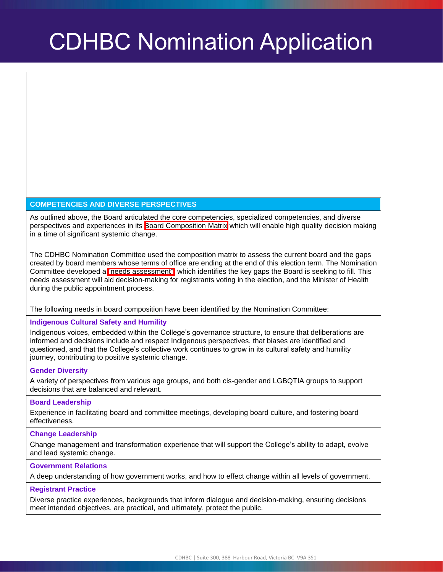#### **COMPETENCIES AND DIVERSE PERSPECTIVES**

As outlined above, the Board articulated the core competencies, specialized competencies, and diverse perspectives and experiences in its **Board Composition Matrix** which will enable high quality decision making in a time of significant systemic change.

The CDHBC Nomination Committee used the composition matrix to assess the current board and the gaps created by board members whose terms of office are ending at the end of this election term. The Nomination Committee developed a **"needs assessment"**, which identifies the key gaps the Board is seeking to fill. This needs assessment will aid decision-making for registrants voting in the election, and the Minister of Health during the public appointment process.

#### The following needs in board composition have been identified by the Nomination Committee:

#### **Indigenous Cultural Safety and Humility**

Indigenous voices, embedded within the College's governance structure, to ensure that deliberations are informed and decisions include and respect Indigenous perspectives, that biases are identified and questioned, and that the College's collective work continues to grow in its cultural safety and humility journey, contributing to positive systemic change.

#### **Gender Diversity**

A variety of perspectives from various age groups, and both cis-gender and LGBQTIA groups to support decisions that are balanced and relevant.

#### **Board Leadership**

Experience in facilitating board and committee meetings, developing board culture, and fostering board effectiveness.

#### **Change Leadership**

Change management and transformation experience that will support the College's ability to adapt, evolve and lead systemic change.

#### **Government Relations**

A deep understanding of how government works, and how to effect change within all levels of government.

#### **Registrant Practice**

Diverse practice experiences, backgrounds that inform dialogue and decision-making, ensuring decisions meet intended objectives, are practical, and ultimately, protect the public.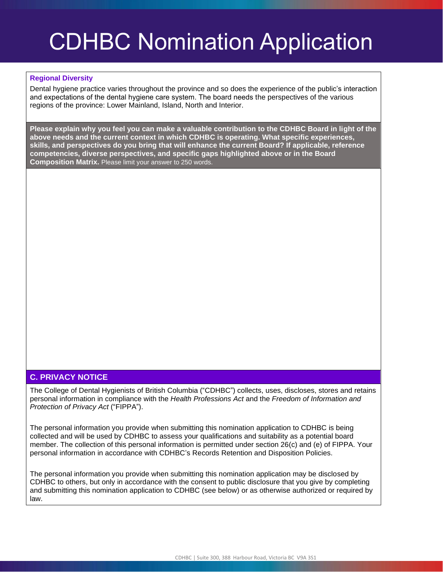#### **Regional Diversity**

Dental hygiene practice varies throughout the province and so does the experience of the public's interaction and expectations of the dental hygiene care system. The board needs the perspectives of the various regions of the province: Lower Mainland, Island, North and Interior.

**Please explain why you feel you can make a valuable contribution to the CDHBC Board in light of the above needs and the current context in which CDHBC is operating. What specific experiences, skills, and perspectives do you bring that will enhance the current Board? If applicable, reference competencies, diverse perspectives, and specific gaps highlighted above or in the Board Composition Matrix.** Please limit your answer to 250 words.

### **C. PRIVACY NOTICE**

The College of Dental Hygienists of British Columbia ("CDHBC") collects, uses, discloses, stores and retains personal information in compliance with the *Health Professions Act* and the *Freedom of Information and Protection of Privacy Act* ("FIPPA").

The personal information you provide when submitting this nomination application to CDHBC is being collected and will be used by CDHBC to assess your qualifications and suitability as a potential board member. The collection of this personal information is permitted under section 26(c) and (e) of FIPPA. Your personal information in accordance with CDHBC's Records Retention and Disposition Policies.

The personal information you provide when submitting this nomination application may be disclosed by CDHBC to others, but only in accordance with the consent to public disclosure that you give by completing and submitting this nomination application to CDHBC (see below) or as otherwise authorized or required by law.